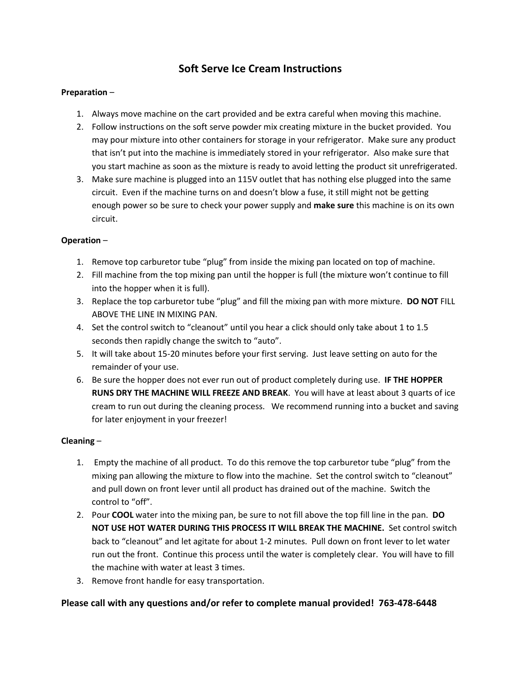# **Soft Serve Ice Cream Instructions**

#### **Preparation** –

- 1. Always move machine on the cart provided and be extra careful when moving this machine.
- 2. Follow instructions on the soft serve powder mix creating mixture in the bucket provided. You may pour mixture into other containers for storage in your refrigerator. Make sure any product that isn't put into the machine is immediately stored in your refrigerator. Also make sure that you start machine as soon as the mixture is ready to avoid letting the product sit unrefrigerated.
- 3. Make sure machine is plugged into an 115V outlet that has nothing else plugged into the same circuit. Even if the machine turns on and doesn't blow a fuse, it still might not be getting enough power so be sure to check your power supply and **make sure** this machine is on its own circuit.

#### **Operation** –

- 1. Remove top carburetor tube "plug" from inside the mixing pan located on top of machine.
- 2. Fill machine from the top mixing pan until the hopper is full (the mixture won't continue to fill into the hopper when it is full).
- 3. Replace the top carburetor tube "plug" and fill the mixing pan with more mixture. **DO NOT** FILL ABOVE THE LINE IN MIXING PAN.
- 4. Set the control switch to "cleanout" until you hear a click should only take about 1 to 1.5 seconds then rapidly change the switch to "auto".
- 5. It will take about 15-20 minutes before your first serving. Just leave setting on auto for the remainder of your use.
- 6. Be sure the hopper does not ever run out of product completely during use. **IF THE HOPPER RUNS DRY THE MACHINE WILL FREEZE AND BREAK**. You will have at least about 3 quarts of ice cream to run out during the cleaning process. We recommend running into a bucket and saving for later enjoyment in your freezer!

# **Cleaning** –

- 1. Empty the machine of all product. To do this remove the top carburetor tube "plug" from the mixing pan allowing the mixture to flow into the machine. Set the control switch to "cleanout" and pull down on front lever until all product has drained out of the machine. Switch the control to "off".
- 2. Pour **COOL** water into the mixing pan, be sure to not fill above the top fill line in the pan. **DO NOT USE HOT WATER DURING THIS PROCESS IT WILL BREAK THE MACHINE.** Set control switch back to "cleanout" and let agitate for about 1-2 minutes. Pull down on front lever to let water run out the front. Continue this process until the water is completely clear. You will have to fill the machine with water at least 3 times.
- 3. Remove front handle for easy transportation.

# **Please call with any questions and/or refer to complete manual provided! 763-478-6448**